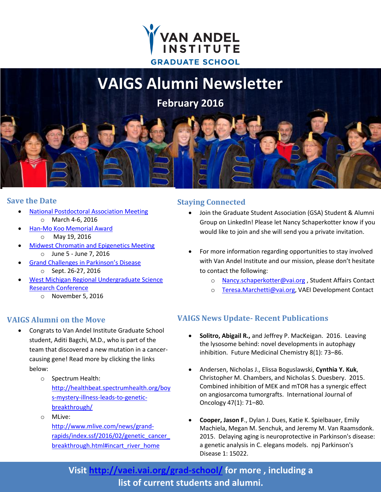

# **VAIGS Alumni Newsletter**

**February 2016**

### **Save the Date**

- [National Postdoctoral Association Meeting](http://www.vai.org/event/national-postdoc-association-annual-meeting/)
	- o March 4-6, 2016
- [Han-Mo Koo Memorial Award](http://www.vai.org/event/han-mo-koo-memorial-award/) o May 19, 2016
- [Midwest Chromatin and Epigenetics Meeting](http://mwchromatinepigenetics.org/) o June 5 - June 7, 2016
	- [Grand Challenges in Parkinson's Disease](http://grandchallengesinpd.org/)
		- o Sept. 26-27, 2016
- [West Michigan Regional Undergraduate Science](http://vaei.vai.org/undergrad/wmrugs/)  [Research Conference](http://vaei.vai.org/undergrad/wmrugs/)
	- o November 5, 2016

## **VAIGS Alumni on the Move**

- Congrats to Van Andel Institute Graduate School student, Aditi Bagchi, M.D., who is part of the team that discovered a new mutation in a cancercausing gene! Read more by clicking the links below:
	- o Spectrum Health: [http://healthbeat.spectrumhealth.org/boy](http://healthbeat.spectrumhealth.org/boys-mystery-illness-leads-to-genetic-breakthrough/) [s-mystery-illness-leads-to-genetic](http://healthbeat.spectrumhealth.org/boys-mystery-illness-leads-to-genetic-breakthrough/)[breakthrough/](http://healthbeat.spectrumhealth.org/boys-mystery-illness-leads-to-genetic-breakthrough/)
	- o MLive: [http://www.mlive.com/news/grand](http://www.mlive.com/news/grand-rapids/index.ssf/2016/02/genetic_cancer_breakthrough.html#incart_river_home)[rapids/index.ssf/2016/02/genetic\\_cancer\\_](http://www.mlive.com/news/grand-rapids/index.ssf/2016/02/genetic_cancer_breakthrough.html#incart_river_home) [breakthrough.html#incart\\_river\\_home](http://www.mlive.com/news/grand-rapids/index.ssf/2016/02/genetic_cancer_breakthrough.html#incart_river_home)

# **Staying Connected**

- Join the Graduate Student Association (GSA) Student & Alumni Group on LinkedIn! Please let Nancy Schaperkotter know if you would like to join and she will send you a private invitation.
- For more information regarding opportunities to stay involved with Van Andel Institute and our mission, please don't hesitate to contact the following:
	- o [Nancy.schaperkotter@vai.org](mailto:Nancy.schaperkotter@vai.org) , Student Affairs Contact
	- o [Teresa.Marchetti@vai.org,](mailto:Teresa.Marchetti@vai.org) VAEI Development Contact

## **VAIGS News Update- Recent Publications**

- **Solitro, Abigail R.,** and Jeffrey P. MacKeigan. 2016. Leaving the lysosome behind: novel developments in autophagy inhibition. Future Medicinal Chemistry 8(1): 73–86.
- Andersen, Nicholas J., Elissa Boguslawski, **Cynthia Y. Kuk**, Christopher M. Chambers, and Nicholas S. Duesbery. 2015. Combined inhibition of MEK and mTOR has a synergic effect on angiosarcoma tumorgrafts. International Journal of Oncology 47(1): 71–80.
- **Cooper, Jason F**., Dylan J. Dues, Katie K. Spielbauer, Emily Machiela, Megan M. Senchuk, and Jeremy M. Van Raamsdonk. 2015. Delaying aging is neuroprotective in Parkinson's disease: a genetic analysis in C. elegans models. npj Parkinson's Disease 1: 15022.

**Visit<http://vaei.vai.org/grad-school/> for more , including a list of current students and alumni.**